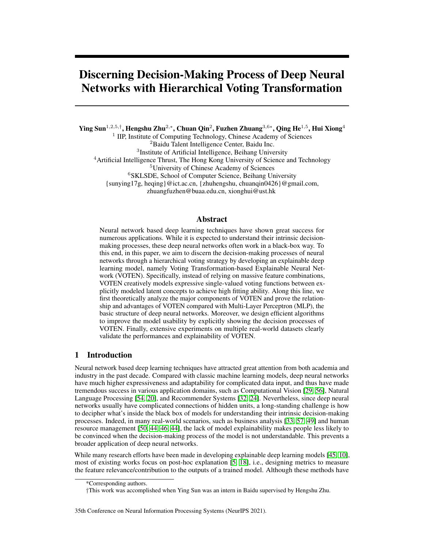# Discerning Decision-Making Process of Deep Neural Networks with Hierarchical Voting Transformation

Ying Sun $^{1,2,5,\dagger},$  Hengshu Zhu $^{2,\ast},$  Chuan Qin $^2,$  Fuzhen Zhuang $^{3,6\ast},$  Qing He $^{1,5},$  Hui Xiong $^4$ 

<sup>1</sup> IIP, Institute of Computing Technology, Chinese Academy of Sciences

<sup>2</sup>Baidu Talent Intelligence Center, Baidu Inc.

3 Institute of Artificial Intelligence, Beihang University

<sup>4</sup> Artificial Intelligence Thrust, The Hong Kong University of Science and Technology

<sup>5</sup>University of Chinese Academy of Sciences

<sup>6</sup>SKLSDE, School of Computer Science, Beihang University

{sunying17g, heqing}@ict.ac.cn, {zhuhengshu, chuanqin0426}@gmail.com,

zhuangfuzhen@buaa.edu.cn, xionghui@ust.hk

### Abstract

Neural network based deep learning techniques have shown great success for numerous applications. While it is expected to understand their intrinsic decisionmaking processes, these deep neural networks often work in a black-box way. To this end, in this paper, we aim to discern the decision-making processes of neural networks through a hierarchical voting strategy by developing an explainable deep learning model, namely Voting Transformation-based Explainable Neural Network (VOTEN). Specifically, instead of relying on massive feature combinations, VOTEN creatively models expressive single-valued voting functions between explicitly modeled latent concepts to achieve high fitting ability. Along this line, we first theoretically analyze the major components of VOTEN and prove the relationship and advantages of VOTEN compared with Multi-Layer Perceptron (MLP), the basic structure of deep neural networks. Moreover, we design efficient algorithms to improve the model usability by explicitly showing the decision processes of VOTEN. Finally, extensive experiments on multiple real-world datasets clearly validate the performances and explainability of VOTEN.

# 1 Introduction

Neural network based deep learning techniques have attracted great attention from both academia and industry in the past decade. Compared with classic machine learning models, deep neural networks have much higher expressiveness and adaptability for complicated data input, and thus have made tremendous success in various application domains, such as Computational Vision [\[29,](#page-11-0) [56\]](#page-13-0), Natural Language Processing [\[54,](#page-13-1) [20\]](#page-11-1), and Recommender Systems [\[32,](#page-11-2) [24\]](#page-11-3). Nevertheless, since deep neural networks usually have complicated connections of hidden units, a long-standing challenge is how to decipher what's inside the black box of models for understanding their intrinsic decision-making processes. Indeed, in many real-world scenarios, such as business analysis [\[33,](#page-11-4) [57,](#page-13-2) [49\]](#page-12-0) and human resource management [\[50,](#page-13-3) [44,](#page-12-1) [46,](#page-12-2) [44\]](#page-12-1), the lack of model explainability makes people less likely to be convinced when the decision-making process of the model is not understandable. This prevents a broader application of deep neural networks.

While many research efforts have been made in developing explainable deep learning models [\[45,](#page-12-3) [10\]](#page-10-0), most of existing works focus on post-hoc explanation [\[5,](#page-10-1) [18\]](#page-11-5), i.e., designing metrics to measure the feature relevance/contribution to the outputs of a trained model. Although these methods have

<sup>\*</sup>Corresponding authors.

<sup>†</sup>This work was accomplished when Ying Sun was an intern in Baidu supervised by Hengshu Zhu.

<sup>35</sup>th Conference on Neural Information Processing Systems (NeurIPS 2021).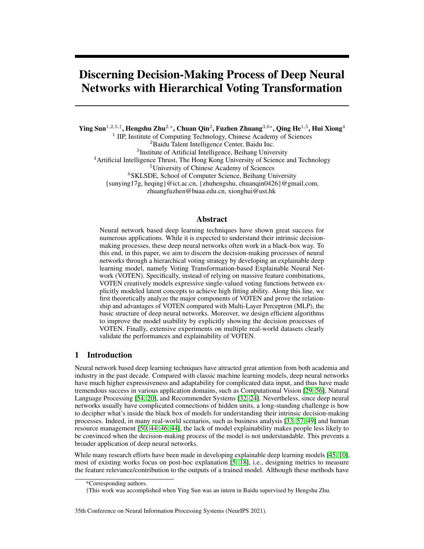

<span id="page-1-0"></span>Figure 1: Structure overview of VOTEN.

made progress on finding important features, the decision-making process of deep learning models is still not available for users. For example, users often need to guess the reason why a prediction is made from the relevant features instead of understanding the decision-making process. Indeed, understanding the intrinsic decision-making process of deep neural networks is a non-trivial task. A major reason is that deep neural networks usually involve massive feature combinations to gain expressiveness on fitting complicated functions. During this process, the effect of features and hidden units may be largely coupled with each other. This indicates that the decision logic of models is inherently buried in the massive feature combinations. Meanwhile, it is difficult for human to understand the intrinsic modeling process of deep learning in a natural manner. Therefore, a key point on improving the explainability of deep neural networks is to decouple the feature combinations and make the modeling process consistent with human decision process. In this way, the model will have an explicit decision-making process and become human-understandable.

To this end, in this paper, we propose an explainable deep learning model, namely Voting Transformation-based Explainable Neural Network (VOTEN). Specifically, VOTEN assumes the transformation from the input to the output to be a hierarchical voting process. During this process, lower-level concepts vote for higher-level concepts layer-by-layer in an expressive but explainable way. Instead of relying on massive feature combinations, VOTEN creatively models expressive single-valued voting functions between explicitly modeled hidden concepts to gain expressiveness on fitting complicated functions. This process is explainable for its consistency with human decisionmaking process. We first theoretically analyze the major components of VOTEN and prove the relationship and advantages of VOTEN compared with Multi-Layer Perceptron (MLP), which is the basic structure of deep neural networks. The results show that MLP can be derived from VOTEN by using the inexpressive voting functions. Accordingly, we further analyze the effect of inherent votings and design efficient algorithms for pruning and explaining VOTEN. Finally, we evaluated VOTEN on multiple real-world datasets with comprehensive experiments. The experimental results demonstrate that VOTEN generally promotes powerful and explainable deep learning. Specifically, VOTEN (1) significantly raises prediction performance; (2) exponentially decreases feature combinations; and (3) supports efficient pruning and effective feature analysis. Meanwhile, we also visualize the intrinsic decision-making process of VOTEN through case studies, which show VOTEN is explainable and can discover meaningful latent concepts.

# 2 VOTEN

In this section, we introduce the technical details of VOTEN.

### 2.1 Structure

When dealing with complicated information, we usually aggregate them step-by-step to form complicated inference. Although deep neural networks also extract abstract features layer-by-layer, they are still difficult to be explained. A major difference is that we can induce explicit concepts, which makes us able to explain our inference in a straightforward way.

For example, we can predict that "This student may get high GPA because he/she works very hard". If the more explicit explanation is needed, we can further explain that "I observed that he/she stay long in the library". In this process, with the observation that "stay long in the library", we first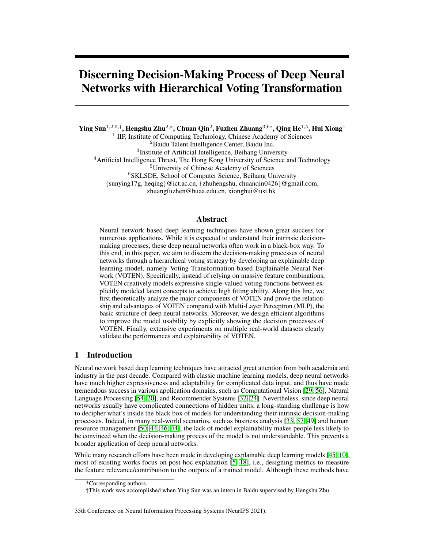infer "hard-working", then infer "high GPA". Moreover, when trying to make more comprehensive inference, we may get more observations for existing concepts (e.g., "little missing of classes" may also imply "hard-working"), or induce more concepts (e.g., "learning-efficiency"). This kind of process is straightforward and conforms with our way of understanding. However, deep neural networks cannot model concepts in an explicit way. Instead, concept information are embedded in massive hidden units. As we cannot understand these induced concepts, neural networks are like unified, inseparable complicated functions, even though they are actually performing information aggregation. Along this line, we believe a natural way to understand how a model decides the output is to make the intrinsic concepts explicit for human.

Therefore, we propose VOTEN, whose structure overview is shown in Figure [1.](#page-1-0) VOTEN hierarchically models a small number of explicit concepts. During inference, the higher-level concepts will be induced via information aggregation from the lower-level concepts. To achieve meaningful information aggregation, VOTEN focuses on quantifying relationship between individual concepts of different levels. For better understanding, in VOTEN, observations and concepts can be regarded as *voters*. Based on their own value, each voter independently votes for the higher-level concepts. The votes are aggregated to get the value estimation of each higher-level concept. These concepts will further vote for the next level. In the training process, the model learns to builds intermediate concepts and their quantitative voting functions.

Formally, for a VOTEN model with D levels of concepts, we use  $C_i^d$  to denote the *i-th* concept in the  $d$ -th layer, where  $C_i^0$  denotes an input feature. We refer to transformations between adjacent levels  $\alpha$ -*i* rayer, where  $\epsilon_i$  denotes an input readure. We refer to transformations between adjacent levels of concepts as a *voting layer*. In the *d*-*th* voting layer, each concept  $C_i^d$  votes for each higher-level concept  $C_j^{d+1}$  with an independent *voting channel*  $V_{i,j}^d$ .  $V_{i,j}^d$  takes the value of  $C_i^d$  as the input and votes with a single-valued nonlinear function  $f_{i,j}^d$ : R ! R. Then, a counting layer gets weighted average of the votes and estimates the value of  $C_j^{d+1}$  as

<span id="page-2-0"></span>
$$
x_j^{d+1} = \sum_{k=1}^{\infty} a_{k,j}^d f_{k,j}^d(x_k^d) \qquad \text{s.t. } 8d_j j \qquad \frac{\aleph d}{dx_{k,j}} = 1; \tag{1}
$$

where  $n_d$  denotes the number of concepts in the d-th layer,  $x_k^d$  denotes the value of  $C_k^d$ ,  $a_{k,j}^d$  denotes the weight of  $\mathcal{V}_{i,j}^d$ . The concepts of the last layer is regarded as the decision score, which generates the model output with  $o = F^{VOTEN}(\mathbf{x}^D)$ . In particular, to assure the ability of the voting functions on effective concept transformation, VOTEN models each voting function with a voting network. The voting network can be designed in complicated ways without influencing model explainability, as long as the function is still single-valued. For example, we can adopt weight-sharing structures to reduce model complexity.

### <span id="page-2-1"></span>2.2 Why is VOTEN more explainable than MLP?

In this part, we theoretically discuss VOTEN's advantages over MLP. Specifically, we claim that voting expressiveness is the core proposition of VOTEN that raises explainability.

Theorem 1 *MLP can be derived from a subset of degenerated VOTEN models whose voting functions* in the form of  $f_{i,j}^d(x_i^d) = w_{i,j}^d$  ( $x_i^d$ ) +  $b_{i,j}^d$ , where  $\check{ }$  is a predefined activation function, the scalars  $w_{i,j}^d$ ;  $b_{i,j}^d$  2 R are trainable parameters.

*Proof.* Please refer to Appendix A.

From this point of view, MLP also conforms to human inference. However, MLP is still difficult to explain. Indeed, we can more easily understand an inference process with (1) fewer concepts, (2) shorter concept transformations, and (3) fewer reasoning patterns. Under VOTEN schema, we show how inexpressive voting channels make MLP disobey these three traits.

#### Corollary 1 *In MLP, votings from the same concept are linearly correlated.*

This means individual voters in MLP are weak in distinguishing different concepts in the next level. Therefore, MLP relies on highly complicated feature combinations of a large number of deeply tiled voters to achieve high fitting ability. During this process, necessary intermediate information is inherently modeled through combinatorial effects of hidden concepts with inexplicit meanings. Indeed, previous works have proved that human-understandable concepts are inherently mounted in the hidden units of neural network models [\[28\]](#page-11-6).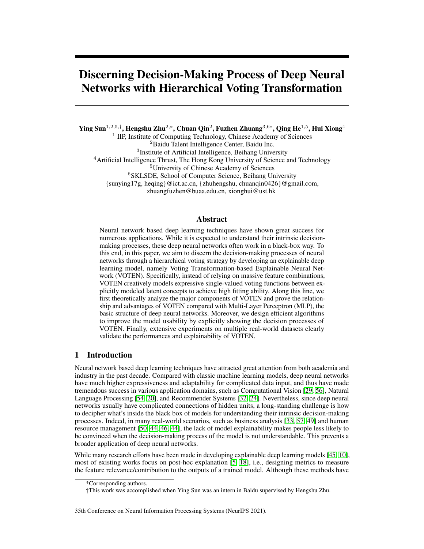### Corollary 2 *In MLP, the hypothesis space for voting distribution is limited to scaling and shifting an input distribution.*

This means that MLP voters cannot always induce complicated concepts that have different distribution from their value. As a result, the input needs to go through a long path of transformations between similar concepts until it contributes to the output. Moreover, the deeply tiled massive concepts make each input feature has massive paths to the output, which brings a large number of possible decision-making patterns of the model. In addition, the effect of votings can easily couple and cancel each other out in the downstream calculations. As a result, separately analyzing the role of individual concepts or decision paths becomes meaningless.

Different from MLP, VOTEN has far more expressive voting functions. It directly models nonlinear transformations between essential intermediate concepts without relying on massive feature combinations and naive transformations. As a result, VOTEN's decision-making process is explicit with only a small number of meaningful concepts, thus is explainable.

#### 2.3 Explaining the effect of votings

In VOTEN, individual voting channels play explicit roles in influencing the model decision. In this part, we analyze the effect of votings. First, we use a concept function  $g_i^d$ :  $\mathbb{R}^{n_0}$  ! R to represent the transformation from model inputs  $x^0 \nightharpoonup R^{n_0}$  to  $C_i^d$ , which decides the meaning of the concept.

Definition 1 *In VOTEN, we refer to two concept functions* g *and* g <sup>0</sup> *as equivalent iff. there exists an invertible function* , so that  $8x^0 \n\supseteq \mathbb{R}^{n_0}$ ;  $(g(x^0)) = g'(x^0)$ :

Since is invertible, the outputs of two equivalent concept functions have one-to-one correspondence over all the possible inputs. Then, they can effect equally in the decision-making process.

Theorem 2 *In VOTEN, if replacing a concept function with an equivalent form, there exists a way to replace its voting functions so that all the downstream concept functions stay unchanged. Proof.* Please refer to Appendix A.

To analyze how voting channels effect on concept functions, we can reformulate Equation [1](#page-2-0) as

$$
x_j^{d+1} = g_j^{d+1}(\mathbf{x}^0) = \bigotimes_{i=1}^{\mathcal{H}^d} a_{i,j}^d (f_{i,j}^d(g_i^d(\mathbf{x}^0)) \quad \mathbb{E}_{\mathbf{x}}[f_{i,j}^d(g_i^d(\mathbf{x}))]) + b_j^{d+1}.
$$
 (2)

where  $E_x[f_{i,j}^d(g_i^d(\textbf{x}))]$  denotes the expectation of  $f_{i,j}^d$  over all the instances,  $b_j^{d+1}$  is a sampleindependent bias. In particular,

<span id="page-3-2"></span><span id="page-3-1"></span><span id="page-3-0"></span>
$$
\mathcal{B}_{j}^{d+1} = \sum_{i=1}^{\mathbb{X}d} a_{i,j}^{d} \mathbb{E}_{\boldsymbol{x}}[f_{i,j}^{d}(\mathcal{G}_{i}^{d}(\boldsymbol{x}))] = \mathbb{E}_{\boldsymbol{x}}[g_{j}^{d+1}(\boldsymbol{x})]:
$$
\n(3)

For simplicity, we use  $\overline{h_{i,j}^d}$  to denote  $\overline{E}_{x}$  [ $f_{i,j}^d$  ( $g_i^d$  ( $\boldsymbol{\chi}$ ))]. Notably, by adding an arbitrary bias to  $g_j^{d+1}$ , we obtain an equivalence of the original concept. According to Theorem [2,](#page-3-0) we can construct a model with exactly the same expression (i.e., equivalent concepts and the same predictions) as the previous one. This implies that VOTEN may converge to models with differed internal bias but exactly the same decision-making process, indicating VOTEN explanation should be independent of concept bias. According to Equation [2](#page-3-1) and [3,](#page-3-2) voting channels' average only influence concept bias while the voting deviation  $f_{i,j}^d(g_i^d(\mathbf{x}^0))$   $h_{i,j}^d$  reveals the effect of  $\mathcal{V}_{i,j}^d$  for the decision. This can be intuitively explained as each voter can vote with different basic scores and only the deviation from the basic score reflects their judgement for a specific instance. Similarly, from the global view, we reformulate the concept function as  $x_j^{d+1} = \begin{bmatrix} 1 \\ i \end{bmatrix} a_{i,j}^d \frac{d}{i,j} K_{i,j}^d(\mathbf{x}^0) + b_j^{d+1}$ ; where  $K_{i,j}^d(\mathbf{x}^0) = \frac{f_{i,j}^d (g_i^d(\mathbf{x}^0)) - h_{i,j}^d}{\sigma_{i,j}^d}$ . Notably,  $K_{i,j}^d$  () generates a distribution with mean 0 and variance 1 over all the instances. Therefore,  $a_{i,j}^d$  and  $a_{i,j}^d$  jointly decide the overall effect of votings. Specifically, the counting layer explicitly adjusts  $a_{i,j}^d$  so that reliable voters have stronger influences. Meanwhile, the voter implicitly adjusts  $d_{i,j}$ . When the concept is less related to the target concept and cannot support proper votes, they decrease  $\frac{d}{i,j}$  and tend to always vote the basic score to avoid disturbing the model. Otherwise, they increase  $\frac{d}{i,j}$  and vote confidently to lead the model to correct estimation.

Based on the above analysis, we can easily design algorithms to ease both VOTEN local and global explanation, such as recognizing decision paths and quantifying the concept/feature relevance to the prediction, which can be found in Appendix B and Appendix C.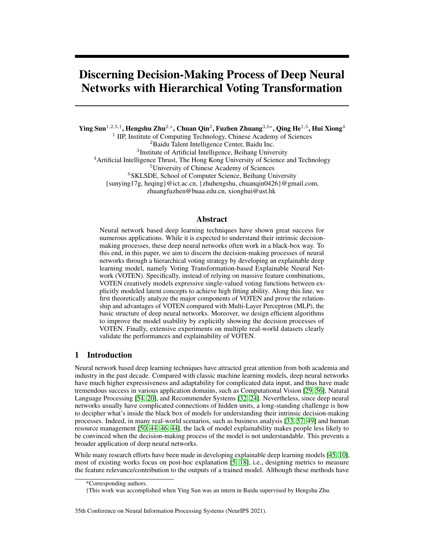| $(i.e., p-value)$ |                        |            |            | the macro average or each metric. We also the significance test, where and a denote signific<br>0.05) and very significantly (i.e., $p$ -value |            | 0.01) worse than VOTEN. |              |
|-------------------|------------------------|------------|------------|------------------------------------------------------------------------------------------------------------------------------------------------|------------|-------------------------|--------------|
|                   |                        | DT [43]    | RF[48]     | LGB [27]                                                                                                                                       | $MLP$ [22] | <b>NAM</b> [7]          | <b>VOTEN</b> |
| MR                | PR                     | $0.2557**$ | $0.4624**$ | $0.4817**$                                                                                                                                     | $0.4870**$ | $0.4412**$              | 0:5007       |
|                   |                        | 0:0007     | 0:0010     | 0.0007                                                                                                                                         | 0.0040     | 0:0014                  | 0:0041       |
|                   | <b>AUC</b>             | $0.6762**$ | $0.9007**$ | $0.9209**$                                                                                                                                     | $0.9199**$ | $0.9031**$              | 0.9237       |
|                   |                        | 0:0096     | 0.0006     | 0:0001                                                                                                                                         | 0.0008     | 0:0014                  | 0:0005       |
|                   | $\overline{\text{PR}}$ | $0.0177**$ | $0.0349**$ | $0.0525*$                                                                                                                                      | $0.0516**$ | $0.0485**$              | 0.0550       |
|                   |                        | 0:0001     | 0:0011     | 0:0017                                                                                                                                         | 0:0014     | 0:0014                  | 0.0001       |
| RP                | <b>AUC</b>             | $0.5134**$ | $0.6566**$ | $0.7305*$                                                                                                                                      | $0.7250**$ | $0.7102**$              | 0.7322       |
|                   |                        | 0:0014     | 0:0052     | 0:0016                                                                                                                                         | 0:0017     | 0:0082                  | 0:0003       |
|                   | $\overline{PR}$        | $0.8119**$ | $0.9763**$ | $0.9753**$                                                                                                                                     | $0.9662**$ | $0.7000**$              | 0.9783       |
|                   |                        | 0:0010     | 0:0003     | 0.0003                                                                                                                                         | 0:0018     | 0.0008                  | 0:0013       |
| CT                | <b>AUC</b>             | 0.9396**   | $0.9979**$ | $0.9965**$                                                                                                                                     | $0.9965**$ | $0.9497**$              | 0.9983       |
|                   |                        | 0:0005     | 0.0001     | 0:0001                                                                                                                                         | 0.0002     | 0.0001                  | 0:0001       |
|                   | PR                     | $0.2514**$ | $0.6348**$ | 0.6972                                                                                                                                         | $0.6215**$ | $0.6567**$              | 0:6522       |
|                   |                        | 0:0022     | 0.0014     | 0:0001                                                                                                                                         | 0:0030     | 0.0043                  | 0:0019       |
| CI                | <b>AUC</b>             | $0.7250**$ | 0.9388**   | 0.9566                                                                                                                                         | $0.9454**$ | $0.9506**$              | 0:9508       |
|                   |                        | 0:0018     | 0:0005     | 0:0001                                                                                                                                         | 0.0004     | 0.0006                  | 0:0002       |
| HG                | $\overline{\text{PR}}$ | $0.6408**$ | $0.8505**$ | $0.8590**$                                                                                                                                     | $0.8297**$ | $0.7897**$              | 0.8612       |
|                   |                        | 0:0002     | 0:0001     | 0.0001                                                                                                                                         | 0.0007     | 0:0003                  | 0:0005       |
|                   | <b>AUC</b>             | $0.6705**$ | $0.8429**$ | $0.8459**$                                                                                                                                     | $0.8157**$ | $0.7751**$              | 0.8481       |
|                   |                        | 0:0002     | 0:0001     | 0.0001                                                                                                                                         | 0.0007     | 0.0001                  | 0:0005       |
| AS                | PR                     | $0.0081**$ | $0.0085**$ | 0:0120                                                                                                                                         | $0.0113**$ | $0.0108**$              | 0.0120       |
|                   |                        | 0:0001     | 0.0001     | 0:0001                                                                                                                                         | 0.0001     | 0:0001                  | 0:0001       |
|                   | <b>AUC</b>             | $0.4999**$ | $0.5139**$ | 0.6026                                                                                                                                         | $0.5917**$ | $0.5742**$              | 0:5975       |
|                   |                        |            |            |                                                                                                                                                |            |                         |              |

<span id="page-4-1"></span>Table 1: Model Performance. We conducted 10 independent runs on each dataset and show the average standard deviation of AUC and AP. In particular, for multi-classifications, we estimated the macro average of each metric. We also did significance test, where \* and \*\* denote significantly

### 2.4 VOTEN supports effective model pruning

In VOTEN, concepts are estimated by averaging the votes. This means we can delete a voting channel while keeping the physical meaning of the target concept unchanged. This supports effective link pruning. Specifically, since only the voting deviation from the average decides the effect, we can assume the absent channel votes the basic score regardless of the input. Formally, the value of  $C_j^{d+1}$ is estimated as  $\hat{x}_j^{d+1} = \begin{bmatrix} n_d & n_d \\ i & j \end{bmatrix}$   $d_{i,j}^d \hat{d}_{i,j}^d (f_{i,j}^d(\hat{x}_i^d) - \overline{h_{i,j}^d}) + b_j^{d+1}$ ; where  $l_{i,j}^d \ge 0$ ; 1 g indicates if  $V_{i,j}^d$  is not absent. Furthermore, since only involving a small number network pruning on VOTEN by exhaustively exploring how the performance will get influenced if some voting channels are absent, which is infeasible for MLP. In MLP, we usually prune unimportant hidden units to reduce model complexity. However, usually not all the voting channels from an important concept are necessary. In VOTEN, these unnecessary concept transformations can be further eliminated to not only reduce model complexity but also raises the explainability of the model. In Appendix D, we give an efficient VOTEN pruning algorithm with a lazy updating strategy.

# 3 Experiment

To evaluate the effectiveness and explainability of VOTEN for seizing comprehensive decision-making patterns. We conducted experiments<sup>[1](#page-4-0)</sup> with 6 large public datasets, including Context-aware Multi-Modal Transportation Recommendation (MR) [\[2,](#page-10-3) [58\]](#page-13-4), IJCAI-18 Search Conversion Rate Prediction (RP) [\[3\]](#page-10-4), Forest Cover Type Prediction (CT) [\[12\]](#page-10-5), Census-Income Prediction (CI) [\[38\]](#page-12-6), Allstate Claim Prediction (AS) [\[1\]](#page-10-6), and Higgs boson dataset (HG) [\[11\]](#page-10-7). The detailed descriptions of experimental setup can be found in Appendix E.

#### 3.1 Performance Evaluation: Can VOTEN achieve higher performance than MLP?

We used two widely adopted metrics for imbalanced classification performance evaluation, including Area Under ROC Curve (AUC) [\[14\]](#page-10-8) and average precision (AP) [\[19\]](#page-11-9), whose higher value means

<span id="page-4-0"></span><sup>&</sup>lt;sup>1</sup>Our code is available at https://github.com/sunyinggilly/VOTEN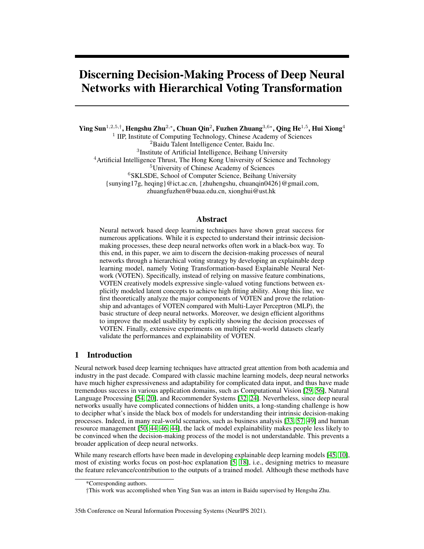higher performance. In Table [1,](#page-4-1) we compare the performance of VOTEN with several baselines, including Decision Tree (DT) [\[43\]](#page-12-4), Random Forest (RF) [\[48\]](#page-12-5), LightGBM (LGB) [\[27\]](#page-11-7), MLP [\[22\]](#page-11-8), and Neural Additive Model (NAM) [\[7\]](#page-10-2) (see Appendix E.2 for detail). For each dataset, we have carefully tuned the parameters of the baselines to achieve their best performance. Especially, detailed analysis on MLP parameters can be found in Appendix E.3. It can be observed that, while deep neural networks are powerful when incorporated with purposely designed modules or prior knowledge for specific tasks, its standard form (i.e., MLP) without task-specific structures may perform worse than LightGBM, which have also been shown by many previous studies [\[47,](#page-12-7) [8,](#page-10-9) [4\]](#page-10-10). Indeed, LightGBM is believed to be powerful in handling structured data and often appears as the major model of the top solutions in data-mining competitions [\[58,](#page-13-4) [35\]](#page-12-8). In contrast, VOTEN, also in its standard form, significantly outperforms MLP for all these tasks and comparable with LightGBM. Indeed, on many datasets, it outperforms LightGBM if complicated feature engineering is not performed. This shows the effectiveness of VOTEN in terms of handling real-world problems. Indeed, VOTEN is more suitable for handling data-mining tasks since it has more reasonable decision-making process. It should be noticed that, similar to MLP, VOTEN is a standard and generic model that can be easily expanded to task-specific networks to raise model performance (for example, we can replace MLP with VOTEN in DeepFM [\[24\]](#page-11-3)). While this paper focuses on the generic performance of standard VOTEN, it shows the possibility of building more powerful deep learning solutions for a wide range of applications.

#### 3.2 Explanation Complexity: Is the decision-making process of VOTEN recognizable?

In Table [2,](#page-5-0) we compare the explanation complexity of MLP and VOTEN. As we have discussed in Section [2.2,](#page-2-1) we use the number of feature combinations, the length of decision paths, and the number of possible decisionmaking patterns to show the explanation complexity of a model. In particular, we trained two VOTEN models with different settings for each dataset. Specifically, "VOTEN<sup>−</sup>" is comparable to the best performance of MLP, with the least feature combinations. "VOTEN" is the one with the best performance. It can be observed that VOTEN greatly reduces feature combinations and decision paths. For example, on the MR dataset, MLP needs 7 voting layers that each contain 128 concepts. This brings an exponentially large number of long decision paths. In contrast, VOTEN achieves comparable performance with 16 hidden concepts in total. Then, each feature only has 16

<span id="page-5-0"></span>Table 2: Explanation complexity. "#C/L" counts hidden concepts in each layer. "#P/F" counts possible decision paths from each feature.

| Data      | Model              | Performance |       | #C/L     | Depth          | #P/F     |  |
|-----------|--------------------|-------------|-------|----------|----------------|----------|--|
|           |                    | AP          | AUC   |          |                |          |  |
|           | <b>MLP</b>         | 0.487       | 0.920 | 128      | 7              | $2^{49}$ |  |
| <b>MR</b> | <b>VOTEN</b>       | 0.497       | 0.922 | 16       |                | 16       |  |
|           | <b>VOTEN</b>       | 0.501       | 0.924 | 16       | 2              | 256      |  |
| <b>RP</b> | <b>MLP</b>         | 0.052       | 0.725 | 12       | 3              | 1,728    |  |
|           | VOTEN <sup>.</sup> | 0.055       | 0.732 | $\theta$ | $\theta$       | 1        |  |
|           | VOTEN              | 0.055       | 0.732 | 8        | $\overline{c}$ | 64       |  |
| <b>CT</b> | MLP                | 0.966       | 0.996 | 128      | 7              | $2^{49}$ |  |
|           | <b>VOTEN</b>       | 0.969       | 0.997 | 32       | $\overline{c}$ | 1.024    |  |
|           | <b>VOTEN</b>       | 0.978       | 0.998 | 64       | 2              | 4,096    |  |
|           | MLP                | 0.622       | 0.945 | 32       | $\overline{c}$ | 1,024    |  |
| CI        | VOTEN <sup>-</sup> | 0.652       | 0.950 | $\theta$ | $\theta$       | 1        |  |
|           | VOTEN              | 0.652       | 0.951 | 4        | $\overline{c}$ | 16       |  |
|           | MLP                | 0.830       | 0.816 | 64       | $\overline{4}$ | $2^{24}$ |  |
| HG        | <b>VOTEN</b>       | 0.831       | 0.816 | 8        | 1              | 8        |  |
|           | <b>VOTEN</b>       | 0.862       | 0.848 | 64       | $\overline{c}$ | 4,096    |  |
|           | MLP                | 0.011       | 0.592 | 64       | 4              | $2^{24}$ |  |
| AS        | VOTEN <sup>-</sup> | 0.012       | 0.594 | 16       | 1              | 16       |  |
|           | <b>VOTEN</b>       | 0.012       | 0.598 | 64       | $\overline{c}$ | 4,096    |  |
|           |                    |             |       |          |                |          |  |

possible paths with a length of 2 to reach the output. This significantly eases the understanding of the decision-making process. For some datasets, VOTEN with no intermediate concepts (i.e., features directly vote for the prediction) can achieve comparable performance to MLP. Moreover, even when reaching its best performance, VOTEN still has a much smaller explanation complexity than MLP. It should be noticed that we have listed the maximum possible number of decision paths for convincing illustration. In practice, we can easily distinguish a fewer number of important decision paths, which will be shown in the following experiments.

### 3.3 Case Study: How to explain a VOTEN model?

We show how to explain a VOTEN model with an example in the MR dataset. Specifically, we first analyze the global decision-making process and discover the meaning of concepts by observing voting functions on important decision paths. Then, we locally explain how the inputs of an instance hierarchically vote the final prediction.

Task Description. The task is to recommend the transport mode for online map app users, given a user and an Origin-Destination (OD) pair. The features mainly contain user portraits and an ordered list of recommended plans of the map app. Each plan consists of transport mode, time, distance, and price. We deleted the first recommended plan's mode information since it is too strongly correlated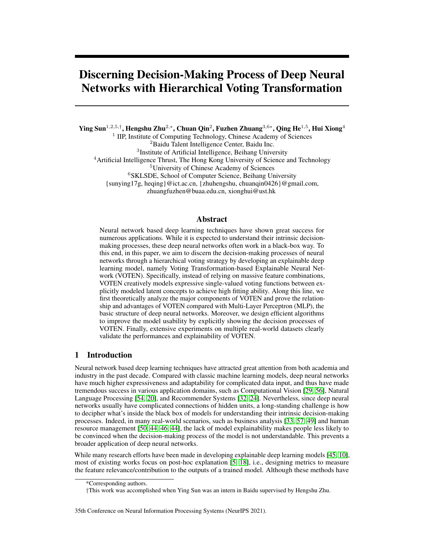

<span id="page-6-0"></span>Figure 2: Case study of VOTEN global decision-making process in MR dataset. We show the important paths from inputs to one output, where wide lines indicate important voting channels. The concept LxHy indicates the y-th concept in the x-th layer. We visualize the important voting functions for each concept along the paths relevant to L2H7, where blue lines show the function while green lines show the average vote.

with the label (many users choose the first recommendation as default). In this way, we can better observe how the model incorporates complicated information for meaningful decisions.

Global Decision-Making Process. We focus on the decision-making process for the class "Subway". First, we discover the important transformations from observations to the prediction with our decision path recognition algorithm. The results are shown in Figure [2.](#page-6-0) Next, we analyze the meaning of concepts from the bottom to the top. L1H8 gets larger when modes of more recommended plans are "Subway", which we regard as "*OD pair with flexible subway-based plans*". L1H12 decreases with higher prices and lower distances, which we regard as "*OD pair's distance-cost performance*". L1H14 observes if the OD pair is distant but still available with inexpensive and fast transportation. Besides, it also observes if modes of public transportation ever appear in the plan list. Therefore, we regard L1H14 as "*distant OD pair with convenient and economical public transportation*". L1H15 is sensitive to a time-consuming top-1 plan. It also observes the other plans' modes and prices to estimate if trading money for efficiency is infeasible. Therefore, we regard L1H15 as "*no choice but a time-consuming transportation*". In the second layer, L2H7 is estimated based on L1H8, L1H12, L1H14, and L1H15. It gets higher if many subway-based plans available (higher L1H8), transportation with balanced distance-cost is recommended (has a peak for L1H12), distant OD pair but still has convenient public transportation (higher L1H14), or costly time-saving transportation is infeasible (higher L1H15). Comprehensively considering these reasons, it implies "*OD pair suitable for subway transportation*, which votes for the score of "Subway" with a monotonic transformation. Along the other path, L1H4 is a concept "*OD pair with inexpensive transportation*". Then, L2H5 is also about the price since it is mainly based on L1H4. It should be noticed that its estimation may still be enhanced by other lower-level concepts when dealing with specific instances, although they are less important from the global view. Finally, L2H5 and L2H7 vote nonlinearly to the score so that the model can make accurate quantitative predictions. With the above analysis, we can qualitatively understand the logic of VOTEN on recommending "Subway". Actually, the decision-making process is quantitatively more complicated and can handle more special cases. In practice, domain experts can thoroughly analyze the shape and gradients of the voting functions to get more insights into the concepts. This may help researchers to find new concepts and develop new theories, especially in fields such as psychology and management, where scientists work on finding mechanisms linking observations to outcomes. Extra visualizations on global decision path and voting functions can be found in Appendix F and Appendix G.

Local Decision-Making Process. Then, we analyze the decision paths for specific instances. In Figure [3,](#page-7-0) we visualize the most important paths for a sample with a high score for "Subway", which are filtered with a small threshold in our local decision path recognition algorithm. Based on the global analysis, we can easily tell how the observations gradually transformed to higher-level concepts. Specifically, for L1H12, the vote from price is filtered out, showing the OD pair's price is normal over the dataset. However, it finds the OD pair to be distant, which contributes to a relatively larger *distance-cost performance* than average, given the normal price. This indicates the plan to be relatively more economical. L2H7 observes the value of L1H12, and finds that the OD pair can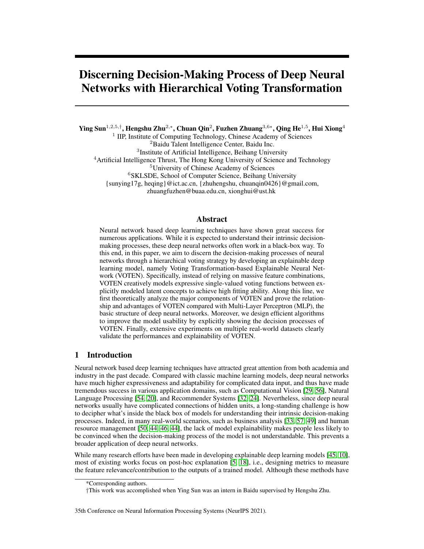

<span id="page-7-0"></span>Figure 3: Case study of VOTEN local decision-making process in MR dataset, where wider and darker lines indicate stronger influence (negatively in blue and positively in red). The bottom left shows filtered paths when we gradually bring up the thresholds. We also show the important voting functions, where the green lines show the average and red points show vote for the current instance.



<span id="page-7-2"></span><span id="page-7-1"></span>Figure 4: Heatmap for the propogation-based relevance in VOTEN. The x-axis represents features and the y-axis represents the instance-output pairs, where  $\#I_{\_}O$  indicates the feature relevance of the I-th instance to class O. Red means positive relevance while blue means negative relevance.

choose transportation whose *distance-cost performance* more balanced than average cases (reaches the peak of voting). In this case, L2H7 votes high for subway, which is an economical and balanced transportation mode. On the other decision path, L1H8 thinks "Subway" may not be suitable since subway-based plans seldom appear in the list, thus votes negatively for L2H7. But L1H12 makes a very confident judgment based on the balance of distance-price performance, which dominates L2H7 and makes the model predict correctly. Interestingly, we find one of the most important strategies in this task is to guess the transportation mode most recommended by the app (the information that we hide in prior), which is reasonable. On the one hand, the app's recommender system trained with abundant information can naturally achieve high performance. On the other hand, many users will click the first recommendation as default. In addition to this strategy, the model will use more important decision paths to achieve more accurate predictions. As we gradually increase the threshold, more decision-making patterns appeared. Extra visualizations on local explanation of other datasets can be found in Appendix H.

### 3.4 Relevance Analysis: Can VOTEN help quantify feature relevance?

**Propagation-Based Relevance.** Motivated by relevance propagation [\[10\]](#page-10-0), we propose an algorithm (see Appendix D) to quantify the relevance of features and concepts, based on the important decision paths. The short decision paths of VOTEN decreases error accumulation during the propagation and enables more accurate relevance estimation. In Figure [4,](#page-7-1) we visualize the propagation-based feature relevance with heatmaps. Obviously, features from  $\#69$  to  $\#86$  are generally important in the MR dataset, among which the first several features (information about the top-1 plan in the list) are the most relevant. Furthermore, the relevant features vary for different samples in terms of different classes, which indicates VOTEN to predict in multiple patterns. For example, Figure [4\(b\)](#page-7-2) shows that VOTEN assigns high score to class 2 for sample 4 and sample 5 with different reasons. Specifically, feature  $\#3$  and  $\#53$  contribute positively for sample 5 while negatively for sample 4. Instead,  $\#50$ is more positively relevant for sample 4. Extra visualizations can be found in Appendix I.

Single-Sighted Prediction Strength. We can also estimate the feature relevance from the view of model performance when the prediction is supported by a single voter in some layer. Specifically,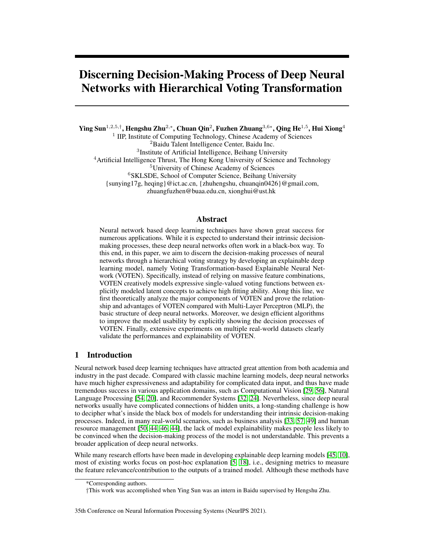<span id="page-8-0"></span>Table 3: Features with top-5 single-sighted prediction strength for class 0 and class 1 of MR dataset in VOTEN. "Input" indicates the AUC of ranking the samples according to the feature's value.



Figure 5: Single-sighted prediction strength in VOTEN. We also show the AUC of linearly ranking the samples as comparisons. Darker color means higher AUC.

we disable the other voters in a similar way as we do in model pruning. Table [3](#page-8-0) shows 5 MR features achieving the highest AUC when conducting single-sighted prediction for class 0 and class 1 in VOTEN. As a comparison, we also show the AUC of directly ranking with the feature, which reveals the feature's linear correlation with the prediction. In particular, since there can be negative correlations, we evaluate AUC for the rank in increasing and decreasing order, and use the larger one as the performance. Moreover, Figure [5](#page-8-1) shows the results on all the features. It can be observed that, even if approximated into single-sighted, VOTEN significantly raises AUC, showing VOTEN to recognize important features and strengthen their effectiveness with nonlinear transformations. Especially, while feature #85 originally seems not correlated with the output, VOTEN finds it in practice nonlinearly very relevant to the output. This proves the effectiveness of VOTEN on quantifying the inherent nonlinear relationships between the observations and the prediction. Interestingly, VOTEN weakens the effect of some features (e.g., feature #3 for RP) to prevent them from disturbing the prediction. Extra visualizations can be found in Appendix J.

#### 3.5 Pruning Experiment

We conducted pruning experiments on VOTEN for MR and CT datasets with our pruning algorithm. As we gradually deleted voting channels, we monitored the change of AUC during this process, which are shown in Figure [6.](#page-8-2) For MR, AUC is still near 0.924 after pruning nearly half of the voting channels. For CT, AUC is still near 0.998 after pruning a quarter of the channels. Interestingly, proper pruning may slightly raise model performance, which is reasonable as a simple model has less chance of over-fitting. In practice, operations like fine-tuning can be adopted

<span id="page-8-1"></span>

<span id="page-8-2"></span>Figure 6: VOTEN pruning experiments. The x-axis shows the ratio of pruned channels while the y-axis shows AUC. The green line shows MLP's performance.

to further raise the performance of the pruned VOTEN model. Then, the model can be further compressed without affecting the prediction much. These results prove VOTEN to support effective pruning, which is helpful. We can use complicated information for training and prune the model to decrease the complexity for storage, calculation and explanation.

### 4 Related Work

Post-Hoc Deep Learning Explanation. Post-Hoc explaining algorithms analyze the relevance of features in a model-free way, mainly including propagation-based methods [\[30,](#page-11-10) [6\]](#page-10-11) and perturbationbased methods [\[59,](#page-13-5) [56\]](#page-13-0). Propagation-based methods propagate the relevance score backward to the inputs. For example, Simonyan *et al.* [\[45\]](#page-12-3) generates saliency maps with the gradients of the output category with respect to the inputs. Bach *et al.* [\[10\]](#page-10-0) proposed Layer-wise Relevance Propagation (LRP), which designed effective rules for the propagation. Perturbation-based methods explain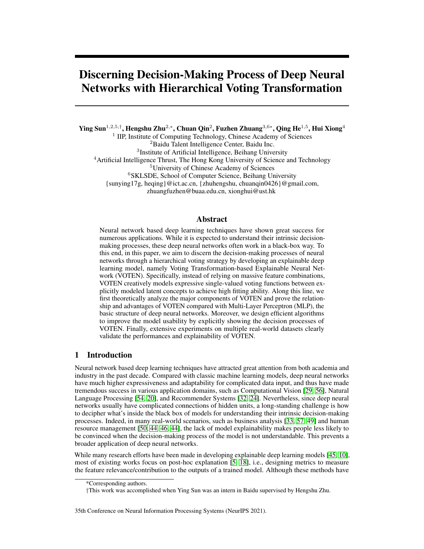model behavior by observing how the output reacts to purposely perturbed or constructed inputs. For example, Local Interpretable Model-Agnostic Explanations (LIME) [\[42\]](#page-12-9) trains a local explainable approximation model around the prediction with randomly perturbed features and the corresponding outputs. SHapley Additive exPlanations (SHAP) [\[34\]](#page-11-11) estimates the Shapley value of features to measure their contribution to model performance. In addition to features, some works estimate concept importance for a model [\[23,](#page-11-12) [53,](#page-13-6) [28\]](#page-11-6). For example, Kim *et al.* [\[28\]](#page-11-6) learn the representation of humanunderstandable concepts with labeled concept-relevant examples and estimate concept sensitivity according to the directional derivative towards the concepts. Along this line, abundant works have been proposed to further raise the effectiveness of post-hoc interpretation algorithms [\[31,](#page-11-13) [55,](#page-13-7) [15\]](#page-10-12). However, these algorithms regard models as blackboxes and heuristically explain with their own metrics, which cannot give explicit understandings of the actual decision-making process. Different from existing works, we proposed a naturally understandable neural network model.

Intrinsically Explainable Machine Learning Techniques. Intrinsically explainable models can be explained without relying on post-hoc algorithms [\[9,](#page-10-13) [5\]](#page-10-1), mainly including classic models such as logistic regression [\[37\]](#page-12-10), linear support vector machine [\[26\]](#page-11-14), decision trees [\[43\]](#page-12-4), generalized additive models [\[25\]](#page-11-15) and Bayesian models [\[41,](#page-12-11) [52\]](#page-13-8). Recently, Agarwal *et al.* [\[7\]](#page-10-2) proposed Neural Additive Model that predicts with a linear combination of neural networks. However, all these models usually have tight restrictions on the hypothesis space, which limits their fitting ability on complicated realworld problems. Based on these methods, complicated models are developed for higher performance. However, even with intrinsically explainable base models, these complicated models still need post-hoc algorithms for explanation [\[9\]](#page-10-13). For example, ensemble tree models [\[16,](#page-10-14) [27\]](#page-11-7) predict with a large number of weak learners. However, the joint decision-making process of massive decision trees is difficult to understand. Kernel functions [\[39\]](#page-12-12) are incorporated in support vector machines to seize high dimensional feature interactions. However, the dimension transformation is implicit and not understandable. In recent years, researchers also try to design explainable neural network models by incorporating purposely designed task-specific constraints or structures [\[47,](#page-12-7) [50,](#page-13-3) [17,](#page-10-15) [40\]](#page-12-13). However, these models cannot be adopted by the general tasks. Besides, they only provide heuristic and domain-specific intermediate information instead of telling the complete decision-making process. Different from these works, we aim at a general explainable neural network model, which has an intrinsically explainable decision-making process while retaining the high fitting ability.

# 5 Concluding Remarks

In this paper, we have proposed an explainable deep learning model, VOTEN. Specifically, we theoretically analyzed the major components of VOTEN and discussed its priority over MLP, and accordingly proposed some efficient algorithms to raise the model usability. Experimental results on multiple real-world datasets clearly demonstrated that VOTEN can significantly improve the explainability and performance of deep learning.

Limitations. In this paper, we focused on comparing VOTEN with MLP, which is the generic and basic structure of deep learning models. Many powerful problem-specific structures can be derived from MLP by adding operations such as weight sharing (e.g., CNN). Similar to MLP, VOTEN is a basic and generic structure. It can be adopted to problem-specific models (e.g., we can simply use VOTEN to replace MLPs in deepFM [\[24\]](#page-11-3) or MMoE [\[36\]](#page-12-14)). Indeed, recent studies show that if properly designed, simple MLP-based structure achieves comparable performance to complicated SOTA models [\[21,](#page-11-16) [51\]](#page-13-9). VOTEN's advantages over MLP provides great possibility on further improving a wide range of deep learning applications. In the future, we will also explore building VOTEN-based task-specific structures. In addition, since VOTEN automatically extracts concepts during training, human effort is needed to observe the voting functions for understanding the concepts, which is a common issue in unsupervised concept modeling, such as Latent Dirichlet Allocation [\[13\]](#page-10-16). In the future, we will work on easing the concept understanding of VOTEN, such as recognizing concept-related samples or aligning VOTEN with human-understandable concepts.

## Acknowledgments and Disclosure of Funding

The research work supported by the National Key Research and Development Program of China under Grant No. 2017YFB1002104, the National Natural Science Foundation of China under Grant No. U1836206, U1811461, 62176014, 91746301, 61836013, 61773361.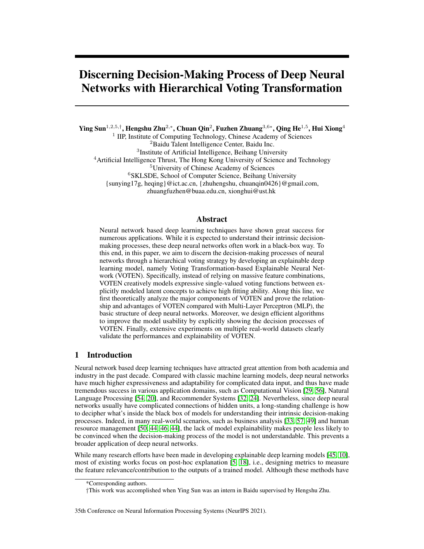### **References**

- <span id="page-10-6"></span>[1] Allstate claim prediction challenge. [https://www.kaggle.com/c/](https://www.kaggle.com/c/ClaimPredictionChallenge) [ClaimPredictionChallenge](https://www.kaggle.com/c/ClaimPredictionChallenge).
	-
- <span id="page-10-3"></span>[2] Context-aware multi-modal transportation recommendation. [https://dianshi.bce.baidu.](https://dianshi.bce.baidu.com/competition/29/question) [com/competition/29/question](https://dianshi.bce.baidu.com/competition/29/question).
- <span id="page-10-4"></span>[3] Ijcai-18 alimama sponsored search conversion rate(cvr) prediction contest. [https://tianchi.](https://tianchi.aliyun.com/competition/entrance/231647/information) [aliyun.com/competition/entrance/231647/information](https://tianchi.aliyun.com/competition/entrance/231647/information).
- <span id="page-10-10"></span>[4] Lightgbm vs neural network. [https://mljar.com/machine-learning/](https://mljar.com/machine-learning/lightgbm-vs-neural-network/) [lightgbm-vs-neural-network/](https://mljar.com/machine-learning/lightgbm-vs-neural-network/).
- <span id="page-10-1"></span>[5] Amina Adadi and Mohammed Berrada. Peeking inside the black-box: a survey on explainable artificial intelligence (xai). *IEEE access*, 6:52138–52160, 2018.
- <span id="page-10-11"></span>[6] Julius Adebayo, Justin Gilmer, Michael Muelly, Ian Goodfellow, Moritz Hardt, and Been Kim. Sanity checks for saliency maps. *arXiv preprint arXiv:1810.03292*, 2018.
- <span id="page-10-2"></span>[7] Rishabh Agarwal, Nicholas Frosst, Xuezhou Zhang, Rich Caruana, and Geoffrey E Hinton. Neural additive models: Interpretable machine learning with neural nets. *arXiv preprint arXiv:2004.13912*, 2020.
- <span id="page-10-9"></span>[8] Aneseh Alvanpour, Sumit Kumar Das, Christopher Kevin Robinson, Olfa Nasraoui, and Dan Popa. Robot failure mode prediction with explainable machine learning. In *2020 IEEE 16th International Conference on Automation Science and Engineering (CASE)*, pages 61–66. IEEE, 2020.
- <span id="page-10-13"></span>[9] Alejandro Barredo Arrieta, Natalia Díaz-Rodríguez, Javier Del Ser, Adrien Bennetot, Siham Tabik, Alberto Barbado, Salvador García, Sergio Gil-López, Daniel Molina, Richard Benjamins, et al. Explainable artificial intelligence (xai): Concepts, taxonomies, opportunities and challenges toward responsible ai. *Information Fusion*, 58:82–115, 2020.
- <span id="page-10-0"></span>[10] Sebastian Bach, Alexander Binder, Grégoire Montavon, Frederick Klauschen, Klaus-Robert Müller, and Wojciech Samek. On pixel-wise explanations for non-linear classifier decisions by layer-wise relevance propagation. *PloS one*, 10(7):e0130140, 2015.
- <span id="page-10-7"></span>[11] Pierre Baldi, Peter Sadowski, and Daniel Whiteson. Searching for exotic particles in high-energy physics with deep learning. *Nature communications*, 5(1):1–9, 2014.
- <span id="page-10-5"></span>[12] Jock A Blackard and Denis J Dean. Comparative accuracies of artificial neural networks and discriminant analysis in predicting forest cover types from cartographic variables. *Computers and electronics in agriculture*, 24(3):131–151, 1999.
- <span id="page-10-16"></span>[13] David M Blei, Andrew Y Ng, and Michael I Jordan. Latent dirichlet allocation. *Journal of Machine Learning Research*, 3:993–1022, 2003.
- <span id="page-10-8"></span>[14] Andrew P Bradley. The use of the area under the roc curve in the evaluation of machine learning algorithms. *Pattern recognition*, 30(7):1145–1159, 1997.
- <span id="page-10-12"></span>[15] Steven Bramhall, Hayley Horn, Michael Tieu, and Nibhrat Lohia. Qlime-a quadratic local interpretable model-agnostic explanation approach. *SMU Data Science Review*, 3(1):4, 2020.
- <span id="page-10-14"></span>[16] Tianqi Chen and Carlos Guestrin. Xgboost: A scalable tree boosting system. In *Proceedings of the 22nd acm sigkdd international conference on knowledge discovery and data mining*, pages 785–794, 2016.
- <span id="page-10-15"></span>[17] Xu Chen, Hanxiong Chen, Hongteng Xu, Yongfeng Zhang, Yixin Cao, Zheng Qin, and Hongyuan Zha. Personalized fashion recommendation with visual explanations based on multimodal attention network: Towards visually explainable recommendation. In *Proceedings of the 42nd International ACM SIGIR Conference on Research and Development in Information Retrieval*, pages 765–774, 2019.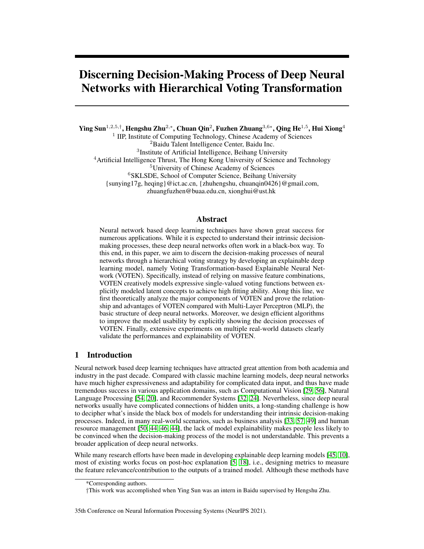- <span id="page-11-5"></span>[18] Arun Das and Paul Rad. Opportunities and challenges in explainable artificial intelligence (xai): A survey. *arXiv preprint arXiv:2006.11371*, 2020.
- <span id="page-11-9"></span>[19] Jesse Davis and Mark Goadrich. The relationship between precision-recall and roc curves. In *Proceedings of the 23rd international conference on Machine learning*, pages 233–240, 2006.
- <span id="page-11-1"></span>[20] Jacob Devlin, Ming-Wei Chang, Kenton Lee, and Kristina Toutanova. BERT: Pre-training of deep bidirectional transformers for language understanding. In *Proceedings of the 2019 Conference of the North American Chapter of the Association for Computational Linguistics: Human Language Technologies, Volume 1 (Long and Short Papers)*, pages 4171–4186, 2019.
- <span id="page-11-16"></span>[21] Xiaohan Ding, Xiangyu Zhang, Jungong Han, and Guiguang Ding. Repmlp: Re-parameterizing convolutions into fully-connected layers for image recognition. *arXiv e-prints*, pages arXiv– 2105, 2021.
- <span id="page-11-8"></span>[22] Matt W Gardner and SR Dorling. Artificial neural networks (the multilayer perceptron)—a review of applications in the atmospheric sciences. *Atmospheric environment*, 32(14-15):2627– 2636, 1998.
- <span id="page-11-12"></span>[23] Amirata Ghorbani, James Wexler, James Zou, and Been Kim. Towards automatic concept-based explanations. *arXiv preprint arXiv:1902.03129*, 2019.
- <span id="page-11-3"></span>[24] Huifeng Guo, Ruiming Tang, Yunming Ye, Zhenguo Li, and Xiuqiang He. Deepfm: a factorization-machine based neural network for ctr prediction. *arXiv preprint arXiv:1703.04247*, 2017.
- <span id="page-11-15"></span>[25] Trevor J Hastie and Robert J Tibshirani. *Generalized additive models*, volume 43. CRC press, 1990.
- <span id="page-11-14"></span>[26] Shujun Huang, Nianguang Cai, Pedro Penzuti Pacheco, Shavira Narrandes, Yang Wang, and Wayne Xu. Applications of support vector machine (svm) learning in cancer genomics. *Cancer Genomics-Proteomics*, 15(1):41–51, 2018.
- <span id="page-11-7"></span>[27] Guolin Ke, Qi Meng, Thomas Finley, Taifeng Wang, Wei Chen, Weidong Ma, Qiwei Ye, and Tie-Yan Liu. Lightgbm: A highly efficient gradient boosting decision tree. *Advances in neural information processing systems*, 30:3146–3154, 2017.
- <span id="page-11-6"></span>[28] Been Kim, Martin Wattenberg, Justin Gilmer, Carrie Cai, James Wexler, Fernanda Viegas, et al. Interpretability beyond feature attribution: Quantitative testing with concept activation vectors (tcav). In *International conference on machine learning*, pages 2668–2677. PMLR, 2018.
- <span id="page-11-0"></span>[29] Alex Krizhevsky, Ilya Sutskever, and Geoffrey E Hinton. Imagenet classification with deep convolutional neural networks. *Advances in neural information processing systems*, 25:1097– 1105, 2012.
- <span id="page-11-10"></span>[30] Sebastian Lapuschkin, Stephan Wäldchen, Alexander Binder, Grégoire Montavon, Wojciech Samek, and Klaus-Robert Müller. Unmasking clever hans predictors and assessing what machines really learn. *Nature communications*, 10(1):1–8, 2019.
- <span id="page-11-13"></span>[31] Heyi Li, Yunke Tian, Klaus Mueller, and Xin Chen. Beyond saliency: understanding convolutional neural networks from saliency prediction on layer-wise relevance propagation. *Image and Vision Computing*, 83:70–86, 2019.
- <span id="page-11-2"></span>[32] Jianxun Lian, Xiaohuan Zhou, Fuzheng Zhang, Zhongxia Chen, Xing Xie, and Guangzhong Sun. xdeepfm: Combining explicit and implicit feature interactions for recommender systems. In *Proceedings of the 24th ACM SIGKDD International Conference on Knowledge Discovery & Data Mining*, pages 1754–1763, 2018.
- <span id="page-11-4"></span>[33] Hao Lin, Hengshu Zhu, Yuan Zuo, Chen Zhu, Junjie Wu, and Hui Xiong. Collaborative company profiling: Insights from an employee's perspective. In *Thirty-First AAAI Conference on Artificial Intelligence*, 2017.
- <span id="page-11-11"></span>[34] Scott Lundberg and Su-In Lee. A unified approach to interpreting model predictions. *arXiv preprint arXiv:1705.07874*, 2017.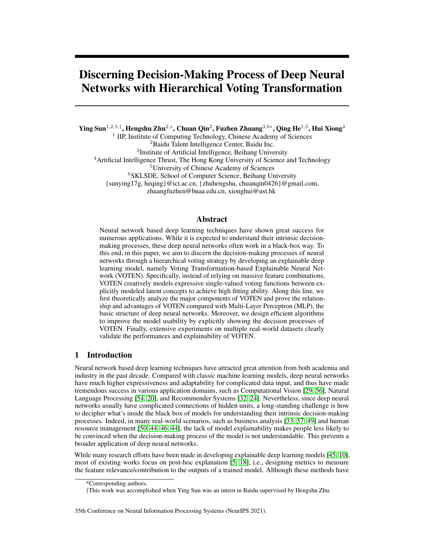- <span id="page-12-8"></span>[35] Zhipeng Luo, Jianqiang Huang, Ke Hu, Xue Li, and Peng Zhang. Accuair: Winning solution to air quality prediction for kdd cup 2018. In *Proceedings of the 25th ACM SIGKDD International Conference on Knowledge Discovery & Data Mining*, pages 1842–1850, 2019.
- <span id="page-12-14"></span>[36] Jiaqi Ma, Zhe Zhao, Xinyang Yi, Jilin Chen, Lichan Hong, and Ed H. Chi. Modeling task relationships in multi-task learning with multi-gate mixture-of-experts. In *Proceedings of the 24th ACM SIGKDD International Conference on Knowledge Discovery & Data Mining*, KDD '18, page 1930–1939, 2018.
- <span id="page-12-10"></span>[37] Edward C Norton, Bryan E Dowd, and Matthew L Maciejewski. Marginal effects—quantifying the effect of changes in risk factors in logistic regression models. *Jama*, 321(13):1304–1305, 2019.
- <span id="page-12-6"></span>[38] Nikunj C Oza and Stuart Russell. Experimental comparisons of online and batch versions of bagging and boosting. In *Proceedings of the seventh ACM SIGKDD international conference on Knowledge discovery and data mining*, pages 359–364, 2001.
- <span id="page-12-12"></span>[39] Luis Carlos Padierna, Martin Carpio, Alfonso Rojas-Dominguez, Hector Puga, and Hector Fraire. A novel formulation of orthogonal polynomial kernel functions for svm classifiers: the gegenbauer family. *Pattern Recognition*, 84:211–225, 2018.
- <span id="page-12-13"></span>[40] Chuan Qin, Hengshu Zhu, Tong Xu, Chen Zhu, Liang Jiang, Enhong Chen, and Hui Xiong. Enhancing person-job fit for talent recruitment: An ability-aware neural network approach. In *The 41st international ACM SIGIR conference on research & development in information retrieval*, pages 25–34, 2018.
- <span id="page-12-11"></span>[41] Adrian E Raftery. Bayesian model selection in social research. *Sociological methodology*, pages 111–163, 1995.
- <span id="page-12-9"></span>[42] Marco Tulio Ribeiro, Sameer Singh, and Carlos Guestrin. " why should i trust you?" explaining the predictions of any classifier. In *Proceedings of the 22nd ACM SIGKDD international conference on knowledge discovery and data mining*, pages 1135–1144, 2016.
- <span id="page-12-4"></span>[43] S Rasoul Safavian and David Landgrebe. A survey of decision tree classifier methodology. *IEEE transactions on systems, man, and cybernetics*, 21(3):660–674, 1991.
- <span id="page-12-1"></span>[44] Dazhong Shen, Chuan Qin, Hengshu Zhu, Tong Xu, Enhong Chen, and Hui Xiong. Joint representation learning with relation-enhanced topic models for intelligent job interview assessment. *ACM Transactions on Information Systems (TOIS)*, 40(1):1–36, 2021.
- <span id="page-12-3"></span>[45] Karen Simonyan, Andrea Vedaldi, and Andrew Zisserman. Deep inside convolutional networks: Visualising image classification models and saliency maps. *arXiv preprint arXiv:1312.6034*, 2013.
- <span id="page-12-2"></span>[46] Ying Sun, Fuzhen Zhuang, Hengshu Zhu, Xin Song, Qing He, and Hui Xiong. The impact of person-organization fit on talent management: A structure-aware convolutional neural network approach. In *Proceedings of the 25th ACM SIGKDD International Conference on Knowledge Discovery & Data Mining*, pages 1625–1633, 2019.
- <span id="page-12-7"></span>[47] Ying Sun, Fuzhen Zhuang, Hengshu Zhu, Qi Zhang, Qing He, and Hui Xiong. Market-oriented job skill valuation with cooperative composition neural network. *Nature communications*, 12(1):1–12, 2021.
- <span id="page-12-5"></span>[48] Vladimir Svetnik, Andy Liaw, Christopher Tong, J Christopher Culberson, Robert P Sheridan, and Bradley P Feuston. Random forest: a classification and regression tool for compound classification and qsar modeling. *Journal of chemical information and computer sciences*, 43(6):1947–1958, 2003.
- <span id="page-12-0"></span>[49] Fangshuang Tang, Qi Liu, Hengshu Zhu, Enhong Chen, and Feida Zhu. Diversified social influence maximization. In *2014 IEEE/ACM International Conference on Advances in Social Networks Analysis and Mining (ASONAM 2014)*, pages 455–459. IEEE, 2014.